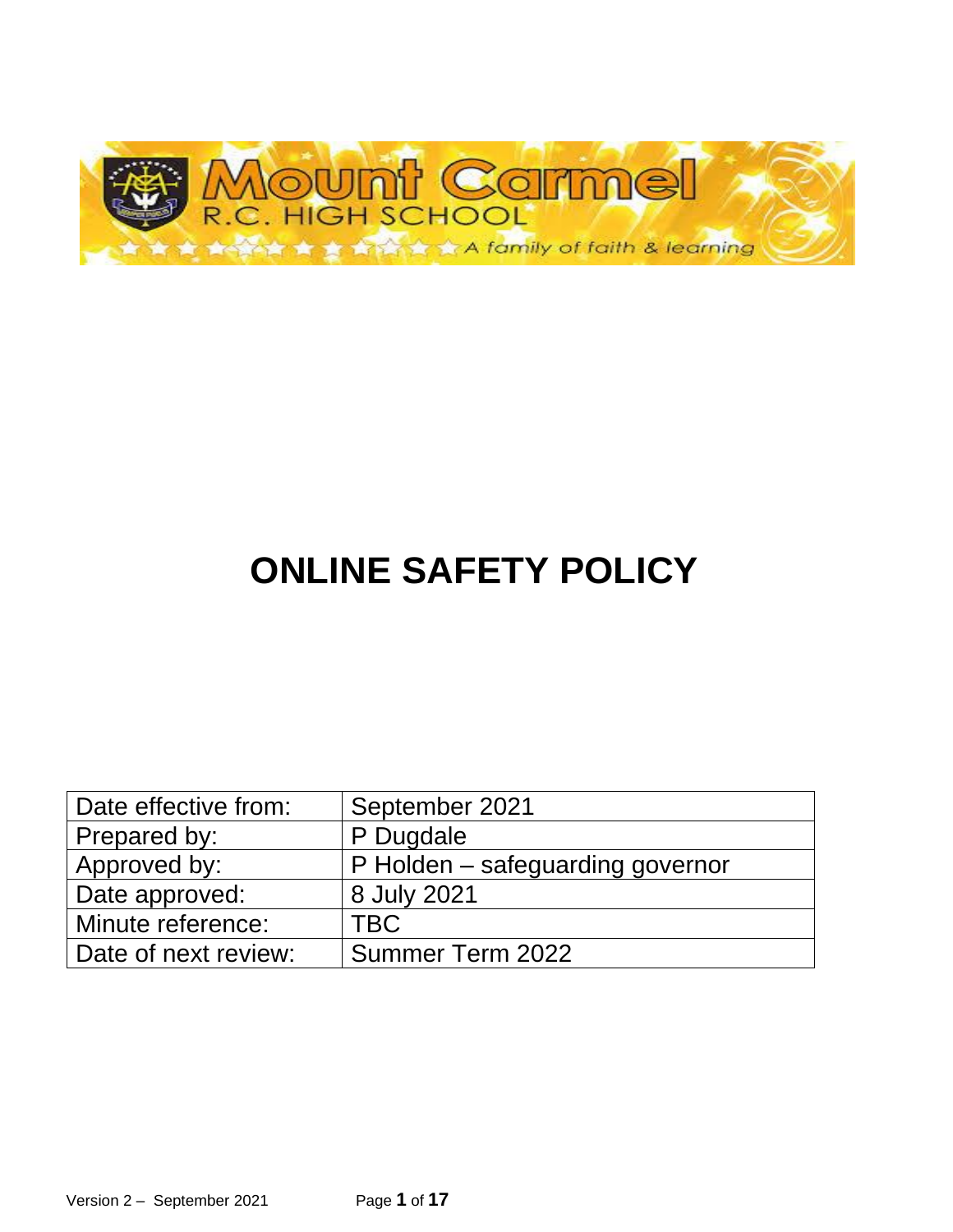

# **ONLINE SAFETY POLICY**

| Date effective from: | September 2021                   |
|----------------------|----------------------------------|
| Prepared by:         | P Dugdale                        |
| Approved by:         | P Holden – safeguarding governor |
| Date approved:       | 8 July 2021                      |
| Minute reference:    | <b>TBC</b>                       |
| Date of next review: | Summer Term 2022                 |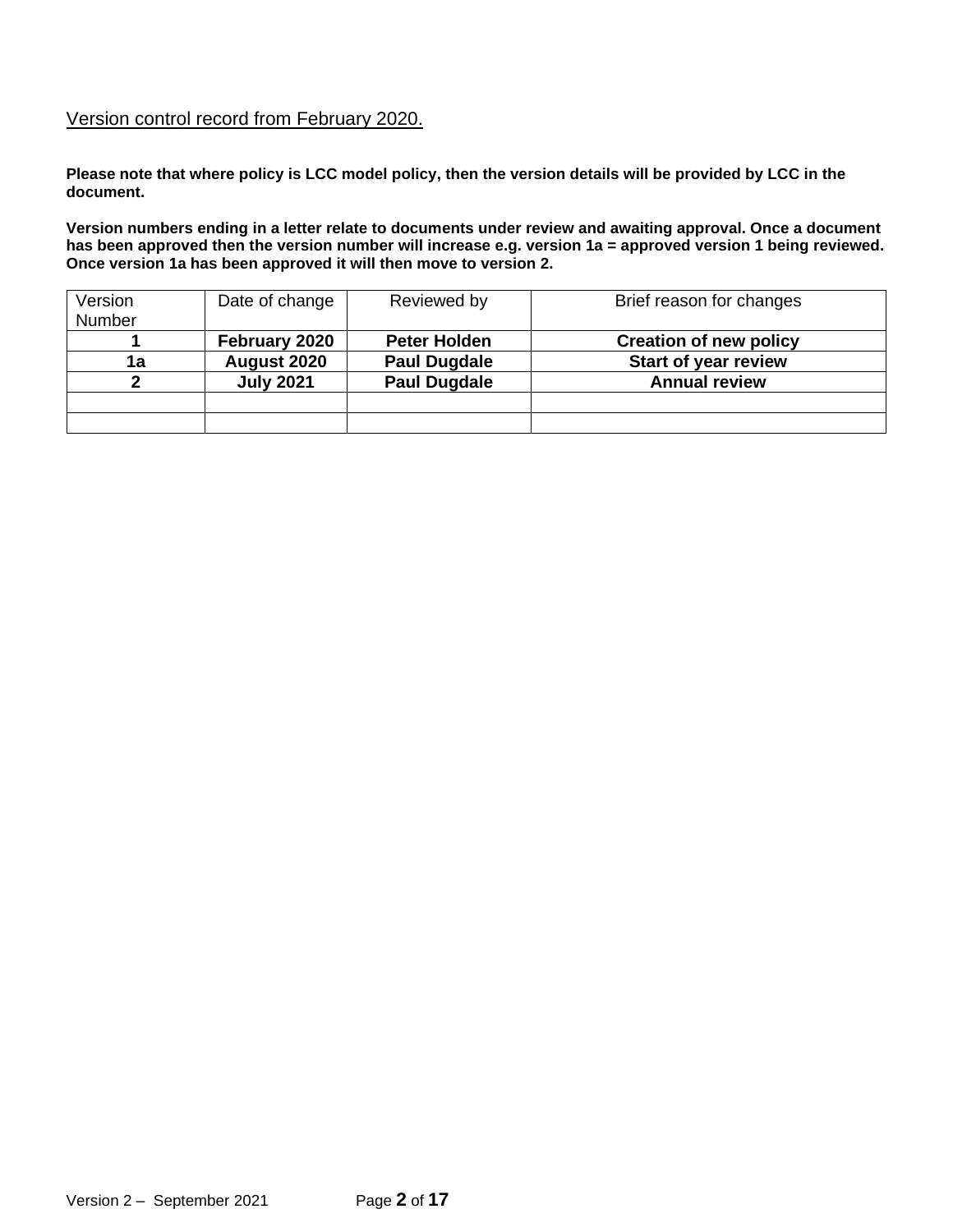#### Version control record from February 2020.

**Please note that where policy is LCC model policy, then the version details will be provided by LCC in the document.** 

**Version numbers ending in a letter relate to documents under review and awaiting approval. Once a document has been approved then the version number will increase e.g. version 1a = approved version 1 being reviewed. Once version 1a has been approved it will then move to version 2.**

| Version | Date of change   | Reviewed by         | Brief reason for changes      |
|---------|------------------|---------------------|-------------------------------|
| Number  |                  |                     |                               |
|         | February 2020    | <b>Peter Holden</b> | <b>Creation of new policy</b> |
| 1a      | August 2020      | <b>Paul Dugdale</b> | <b>Start of year review</b>   |
|         | <b>July 2021</b> | <b>Paul Dugdale</b> | <b>Annual review</b>          |
|         |                  |                     |                               |
|         |                  |                     |                               |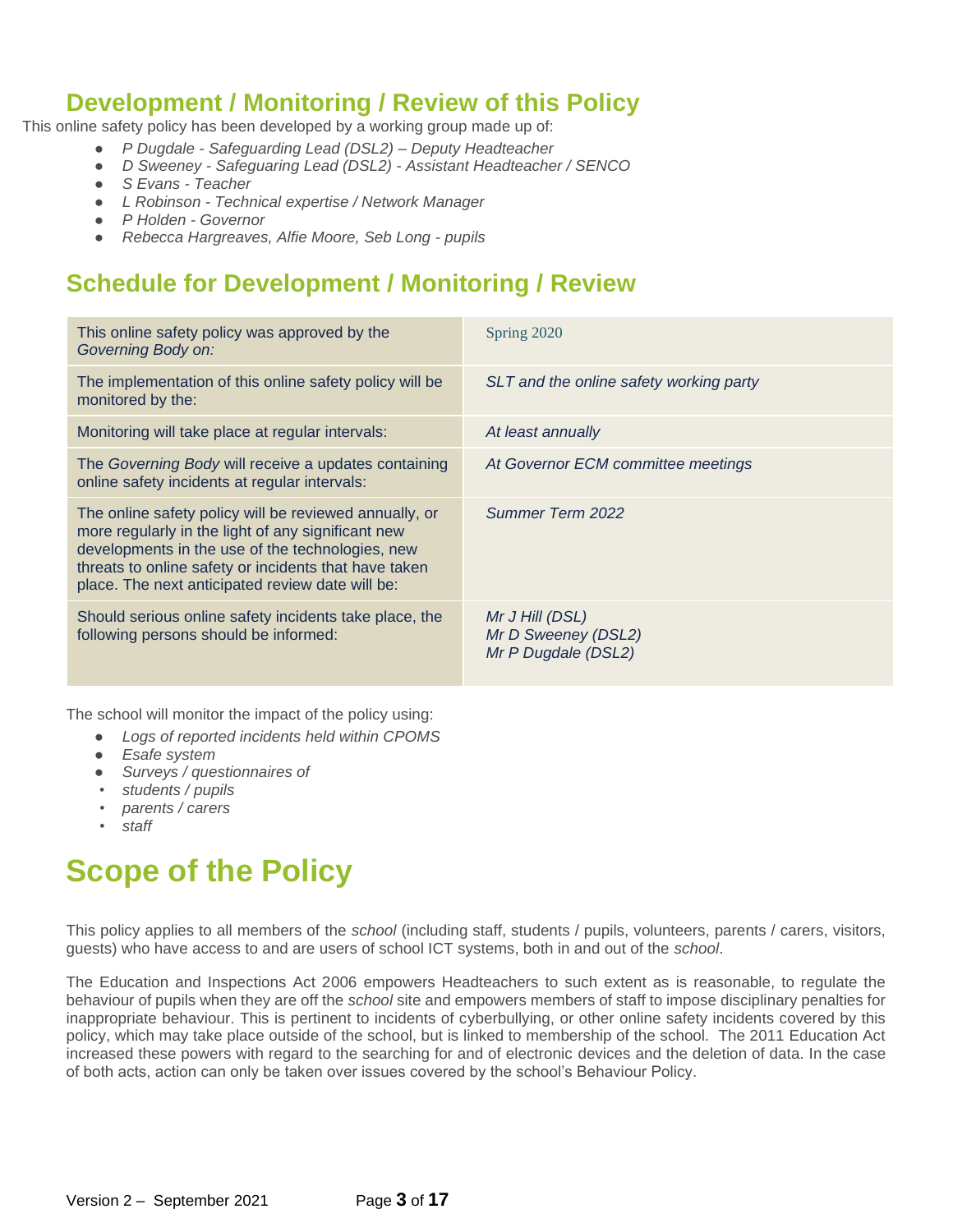#### **Development / Monitoring / Review of this Policy**

This online safety policy has been developed by a working group made up of:

- *P Dugdale - Safeguarding Lead (DSL2) – Deputy Headteacher*
- *D Sweeney - Safeguaring Lead (DSL2) - Assistant Headteacher / SENCO*
- *S Evans - Teacher*
- *L Robinson - Technical expertise / Network Manager*
- *P Holden - Governor*
- *Rebecca Hargreaves, Alfie Moore, Seb Long - pupils*

#### **Schedule for Development / Monitoring / Review**

| This online safety policy was approved by the<br>Governing Body on:                                                                                                                                                                                                           | Spring 2020                                                   |
|-------------------------------------------------------------------------------------------------------------------------------------------------------------------------------------------------------------------------------------------------------------------------------|---------------------------------------------------------------|
| The implementation of this online safety policy will be<br>monitored by the:                                                                                                                                                                                                  | SLT and the online safety working party                       |
| Monitoring will take place at regular intervals:                                                                                                                                                                                                                              | At least annually                                             |
| The Governing Body will receive a updates containing<br>online safety incidents at regular intervals:                                                                                                                                                                         | At Governor ECM committee meetings                            |
| The online safety policy will be reviewed annually, or<br>more regularly in the light of any significant new<br>developments in the use of the technologies, new<br>threats to online safety or incidents that have taken<br>place. The next anticipated review date will be: | Summer Term 2022                                              |
| Should serious online safety incidents take place, the<br>following persons should be informed:                                                                                                                                                                               | Mr J Hill (DSL)<br>Mr D Sweeney (DSL2)<br>Mr P Dugdale (DSL2) |

The school will monitor the impact of the policy using:

- *Logs of reported incidents held within CPOMS*
- *Esafe system*
- *Surveys / questionnaires of*
- *• students / pupils*
- *• parents / carers*
- *• staff*

## **Scope of the Policy**

This policy applies to all members of the *school* (including staff, students / pupils, volunteers, parents / carers, visitors, guests) who have access to and are users of school ICT systems, both in and out of the *school*.

The Education and Inspections Act 2006 empowers Headteachers to such extent as is reasonable, to regulate the behaviour of pupils when they are off the *school* site and empowers members of staff to impose disciplinary penalties for inappropriate behaviour. This is pertinent to incidents of cyberbullying, or other online safety incidents covered by this policy, which may take place outside of the school, but is linked to membership of the school. The 2011 Education Act increased these powers with regard to the searching for and of electronic devices and the deletion of data. In the case of both acts, action can only be taken over issues covered by the school's Behaviour Policy.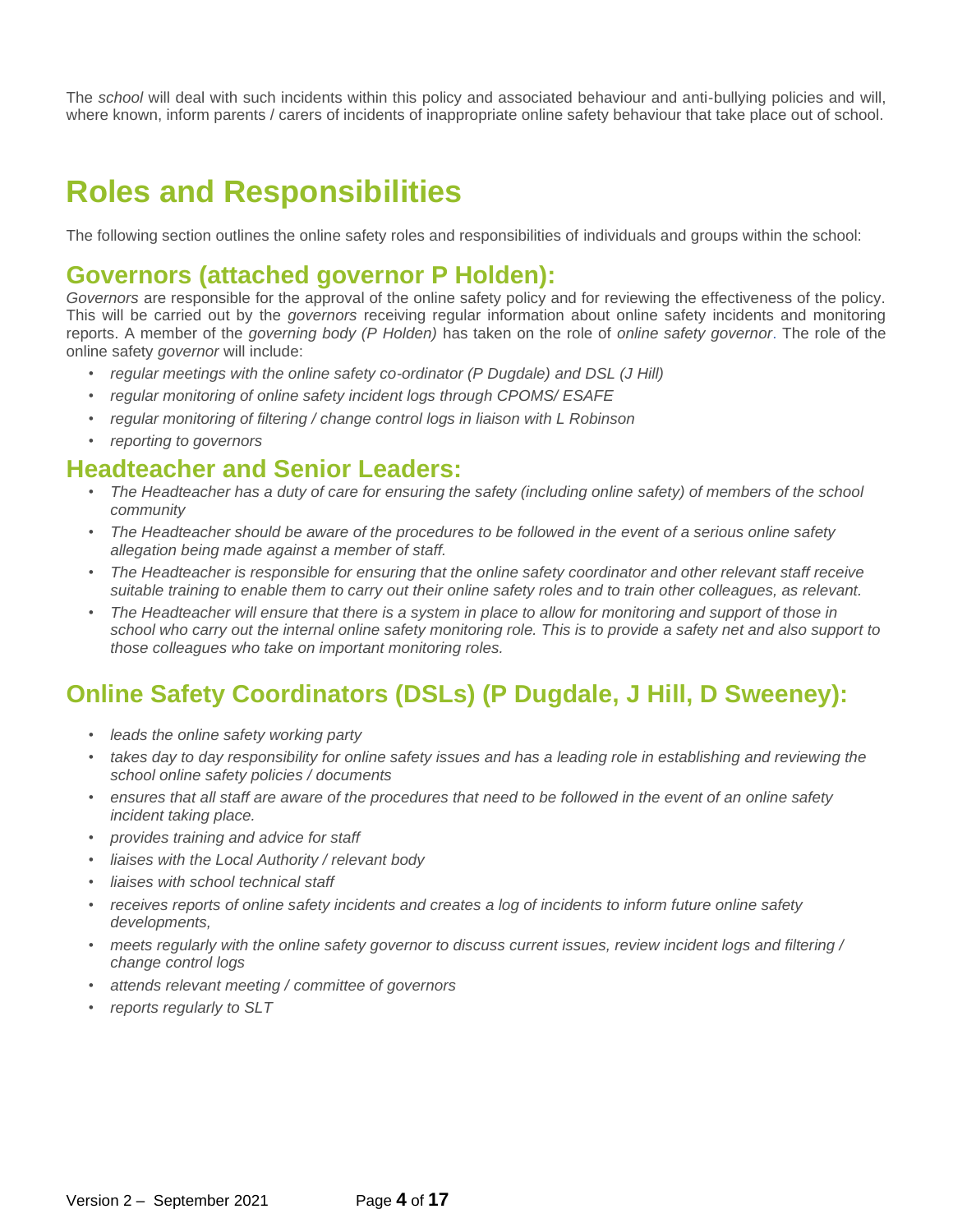The *school* will deal with such incidents within this policy and associated behaviour and anti-bullying policies and will, where known, inform parents / carers of incidents of inappropriate online safety behaviour that take place out of school.

### **Roles and Responsibilities**

The following section outlines the online safety roles and responsibilities of individuals and groups within the school:

#### **Governors (attached governor P Holden):**

*Governors* are responsible for the approval of the online safety policy and for reviewing the effectiveness of the policy. This will be carried out by the *governors* receiving regular information about online safety incidents and monitoring reports. A member of the *governing body (P Holden)* has taken on the role of *online safety governor*. The role of the online safety *governor* will include:

- *• regular meetings with the online safety co-ordinator (P Dugdale) and DSL (J Hill)*
- *• regular monitoring of online safety incident logs through CPOMS/ ESAFE*
- *• regular monitoring of filtering / change control logs in liaison with L Robinson*
- *• reporting to governors*

#### **Headteacher and Senior Leaders:**

- *• The Headteacher has a duty of care for ensuring the safety (including online safety) of members of the school community*
- *• The Headteacher should be aware of the procedures to be followed in the event of a serious online safety allegation being made against a member of staff.*
- *• The Headteacher is responsible for ensuring that the online safety coordinator and other relevant staff receive suitable training to enable them to carry out their online safety roles and to train other colleagues, as relevant.*
- *• The Headteacher will ensure that there is a system in place to allow for monitoring and support of those in school who carry out the internal online safety monitoring role. This is to provide a safety net and also support to those colleagues who take on important monitoring roles.*

#### **Online Safety Coordinators (DSLs) (P Dugdale, J Hill, D Sweeney):**

- *leads the online safety working party*
- *takes day to day responsibility for online safety issues and has a leading role in establishing and reviewing the school online safety policies / documents*
- *• ensures that all staff are aware of the procedures that need to be followed in the event of an online safety incident taking place.*
- *• provides training and advice for staff*
- *• liaises with the Local Authority / relevant body*
- *• liaises with school technical staff*
- *• receives reports of online safety incidents and creates a log of incidents to inform future online safety developments,*
- *• meets regularly with the online safety governor to discuss current issues, review incident logs and filtering / change control logs*
- *• attends relevant meeting / committee of governors*
- *• reports regularly to SLT*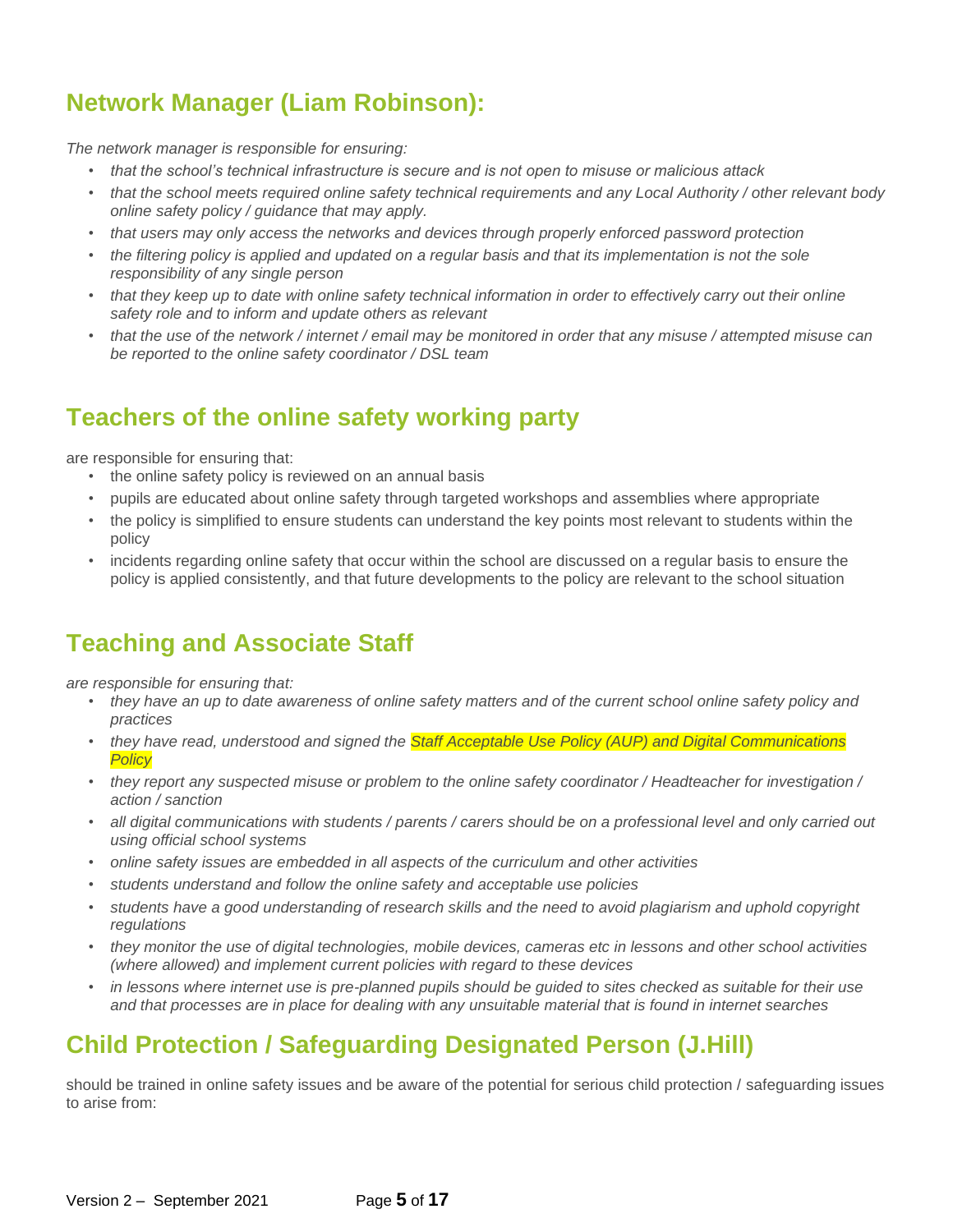### **Network Manager (Liam Robinson):**

*The network manager is responsible for ensuring:* 

- *• that the school's technical infrastructure is secure and is not open to misuse or malicious attack*
- *• that the school meets required online safety technical requirements and any Local Authority / other relevant body online safety policy / guidance that may apply.*
- *• that users may only access the networks and devices through properly enforced password protection*
- the filtering policy is applied and updated on a regular basis and that its implementation is not the sole *responsibility of any single person*
- *• that they keep up to date with online safety technical information in order to effectively carry out their online safety role and to inform and update others as relevant*
- *• that the use of the network / internet / email may be monitored in order that any misuse / attempted misuse can be reported to the online safety coordinator / DSL team*

#### **Teachers of the online safety working party**

are responsible for ensuring that:

- the online safety policy is reviewed on an annual basis
- pupils are educated about online safety through targeted workshops and assemblies where appropriate
- the policy is simplified to ensure students can understand the key points most relevant to students within the policy
- incidents regarding online safety that occur within the school are discussed on a regular basis to ensure the policy is applied consistently, and that future developments to the policy are relevant to the school situation

#### **Teaching and Associate Staff**

*are responsible for ensuring that:*

- they have an up to date awareness of online safety matters and of the current school online safety policy and *practices*
- *• they have read, understood and signed the Staff Acceptable Use Policy (AUP) and Digital Communications Policy*
- *• they report any suspected misuse or problem to the online safety coordinator / Headteacher for investigation / action / sanction*
- *• all digital communications with students / parents / carers should be on a professional level and only carried out using official school systems*
- *• online safety issues are embedded in all aspects of the curriculum and other activities*
- *• students understand and follow the online safety and acceptable use policies*
- **•** *students have a good understanding of research skills and the need to avoid plagiarism and uphold copyright regulations*
- *• they monitor the use of digital technologies, mobile devices, cameras etc in lessons and other school activities (where allowed) and implement current policies with regard to these devices*
- *in lessons where internet use is pre-planned pupils should be quided to sites checked as suitable for their use and that processes are in place for dealing with any unsuitable material that is found in internet searches*

#### **Child Protection / Safeguarding Designated Person (J.Hill)**

should be trained in online safety issues and be aware of the potential for serious child protection / safeguarding issues to arise from: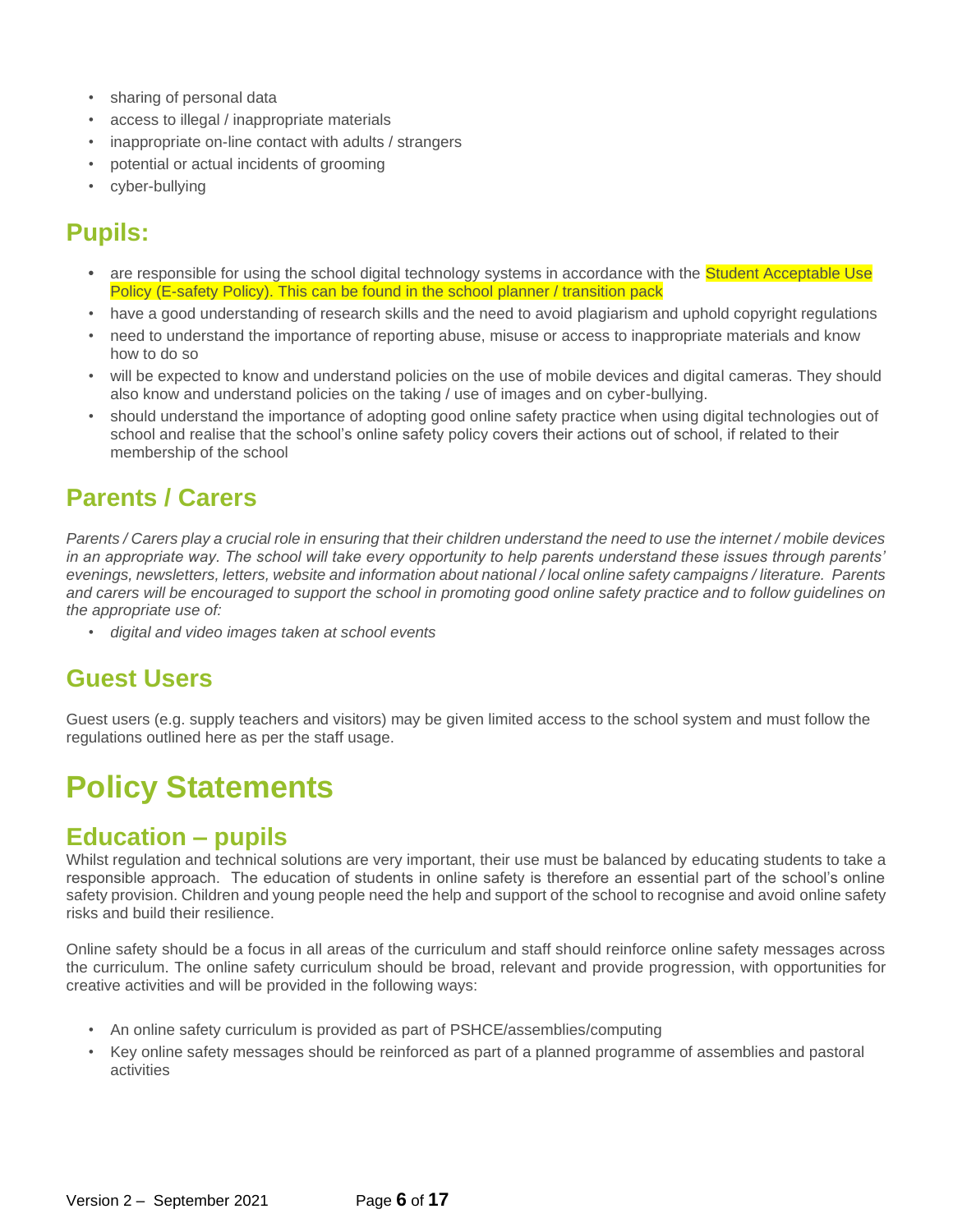- sharing of personal data
- access to illegal / inappropriate materials
- inappropriate on-line contact with adults / strangers
- potential or actual incidents of grooming
- cyber-bullying

#### **Pupils:**

- **•** are responsible for using the school digital technology systems in accordance with the Student Acceptable Use Policy (E-safety Policy). This can be found in the school planner / transition pack
- have a good understanding of research skills and the need to avoid plagiarism and uphold copyright regulations
- need to understand the importance of reporting abuse, misuse or access to inappropriate materials and know how to do so
- will be expected to know and understand policies on the use of mobile devices and digital cameras. They should also know and understand policies on the taking / use of images and on cyber-bullying.
- should understand the importance of adopting good online safety practice when using digital technologies out of school and realise that the school's online safety policy covers their actions out of school, if related to their membership of the school

#### **Parents / Carers**

*Parents / Carers play a crucial role in ensuring that their children understand the need to use the internet / mobile devices in an appropriate way. The school will take every opportunity to help parents understand these issues through parents' evenings, newsletters, letters, website and information about national / local online safety campaigns / literature. Parents and carers will be encouraged to support the school in promoting good online safety practice and to follow guidelines on the appropriate use of:*

*• digital and video images taken at school events*

#### **Guest Users**

Guest users (e.g. supply teachers and visitors) may be given limited access to the school system and must follow the regulations outlined here as per the staff usage.

## **Policy Statements**

#### **Education – pupils**

Whilst regulation and technical solutions are very important, their use must be balanced by educating students to take a responsible approach. The education of students in online safety is therefore an essential part of the school's online safety provision. Children and young people need the help and support of the school to recognise and avoid online safety risks and build their resilience.

Online safety should be a focus in all areas of the curriculum and staff should reinforce online safety messages across the curriculum. The online safety curriculum should be broad, relevant and provide progression, with opportunities for creative activities and will be provided in the following ways:

- An online safety curriculum is provided as part of PSHCE/assemblies/computing
- Key online safety messages should be reinforced as part of a planned programme of assemblies and pastoral activities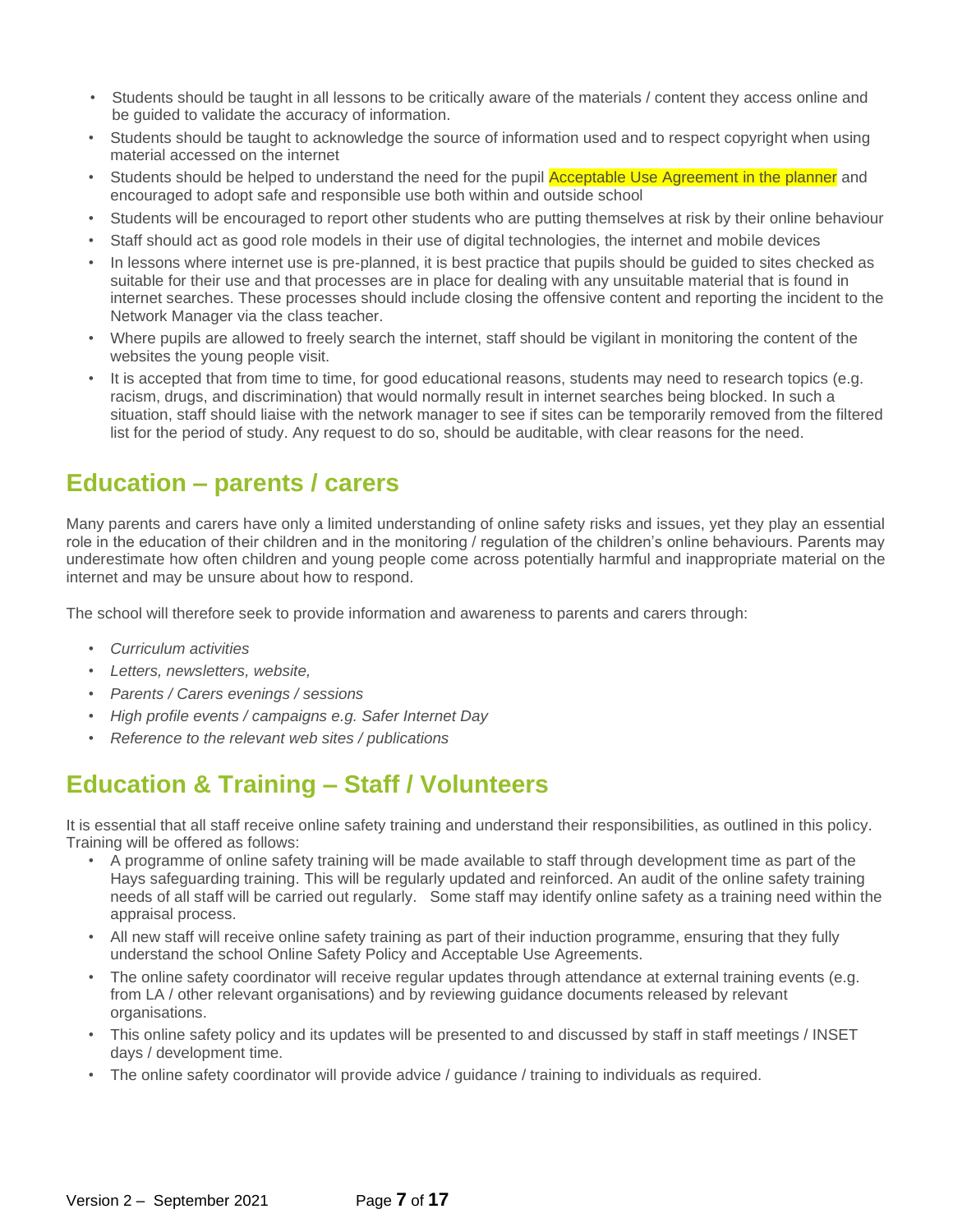- Students should be taught in all lessons to be critically aware of the materials / content they access online and be guided to validate the accuracy of information.
- Students should be taught to acknowledge the source of information used and to respect copyright when using material accessed on the internet
- Students should be helped to understand the need for the pupil **Acceptable Use Agreement in the planner** and encouraged to adopt safe and responsible use both within and outside school
- Students will be encouraged to report other students who are putting themselves at risk by their online behaviour
- Staff should act as good role models in their use of digital technologies, the internet and mobile devices
- In lessons where internet use is pre-planned, it is best practice that pupils should be quided to sites checked as suitable for their use and that processes are in place for dealing with any unsuitable material that is found in internet searches. These processes should include closing the offensive content and reporting the incident to the Network Manager via the class teacher.
- Where pupils are allowed to freely search the internet, staff should be vigilant in monitoring the content of the websites the young people visit.
- It is accepted that from time to time, for good educational reasons, students may need to research topics (e.g. racism, drugs, and discrimination) that would normally result in internet searches being blocked. In such a situation, staff should liaise with the network manager to see if sites can be temporarily removed from the filtered list for the period of study. Any request to do so, should be auditable, with clear reasons for the need.

#### **Education – parents / carers**

Many parents and carers have only a limited understanding of online safety risks and issues, yet they play an essential role in the education of their children and in the monitoring / regulation of the children's online behaviours. Parents may underestimate how often children and young people come across potentially harmful and inappropriate material on the internet and may be unsure about how to respond.

The school will therefore seek to provide information and awareness to parents and carers through:

- *• Curriculum activities*
- *• Letters, newsletters, website,*
- *• Parents / Carers evenings / sessions*
- *• High profile events / campaigns e.g. Safer Internet Day*
- *• Reference to the relevant web sites / publications*

#### **Education & Training – Staff / Volunteers**

It is essential that all staff receive online safety training and understand their responsibilities, as outlined in this policy. Training will be offered as follows:

- A programme of online safety training will be made available to staff through development time as part of the Hays safeguarding training. This will be regularly updated and reinforced. An audit of the online safety training needs of all staff will be carried out regularly. Some staff may identify online safety as a training need within the appraisal process.
- All new staff will receive online safety training as part of their induction programme, ensuring that they fully understand the school Online Safety Policy and Acceptable Use Agreements.
- The online safety coordinator will receive regular updates through attendance at external training events (e.g. from LA / other relevant organisations) and by reviewing guidance documents released by relevant organisations.
- This online safety policy and its updates will be presented to and discussed by staff in staff meetings / INSET days / development time.
- The online safety coordinator will provide advice / guidance / training to individuals as required.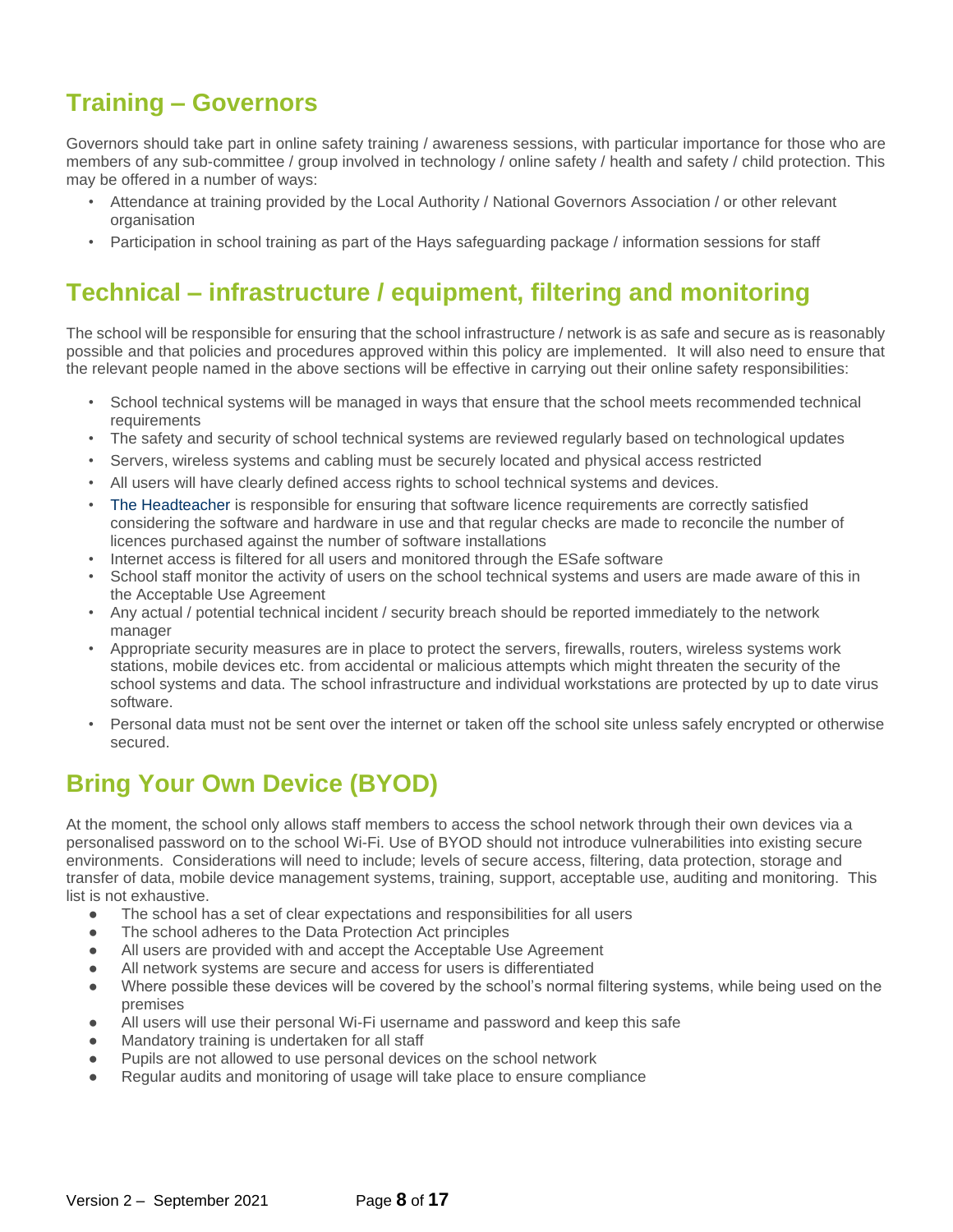### **Training – Governors**

Governors should take part in online safety training / awareness sessions, with particular importance for those who are members of any sub-committee / group involved in technology / online safety / health and safety / child protection. This may be offered in a number of ways:

- Attendance at training provided by the Local Authority / National Governors Association / or other relevant organisation
- Participation in school training as part of the Hays safeguarding package / information sessions for staff

#### **Technical – infrastructure / equipment, filtering and monitoring**

The school will be responsible for ensuring that the school infrastructure / network is as safe and secure as is reasonably possible and that policies and procedures approved within this policy are implemented. It will also need to ensure that the relevant people named in the above sections will be effective in carrying out their online safety responsibilities:

- School technical systems will be managed in ways that ensure that the school meets recommended technical requirements
- The safety and security of school technical systems are reviewed regularly based on technological updates
- Servers, wireless systems and cabling must be securely located and physical access restricted
- All users will have clearly defined access rights to school technical systems and devices.
- The Headteacher is responsible for ensuring that software licence requirements are correctly satisfied considering the software and hardware in use and that regular checks are made to reconcile the number of licences purchased against the number of software installations
- Internet access is filtered for all users and monitored through the ESafe software
- School staff monitor the activity of users on the school technical systems and users are made aware of this in the Acceptable Use Agreement
- Any actual / potential technical incident / security breach should be reported immediately to the network manager
- Appropriate security measures are in place to protect the servers, firewalls, routers, wireless systems work stations, mobile devices etc. from accidental or malicious attempts which might threaten the security of the school systems and data. The school infrastructure and individual workstations are protected by up to date virus software.
- Personal data must not be sent over the internet or taken off the school site unless safely encrypted or otherwise secured.

#### **Bring Your Own Device (BYOD)**

At the moment, the school only allows staff members to access the school network through their own devices via a personalised password on to the school Wi-Fi. Use of BYOD should not introduce vulnerabilities into existing secure environments. Considerations will need to include; levels of secure access, filtering, data protection, storage and transfer of data, mobile device management systems, training, support, acceptable use, auditing and monitoring. This list is not exhaustive.

- The school has a set of clear expectations and responsibilities for all users
- The school adheres to the Data Protection Act principles
- All users are provided with and accept the Acceptable Use Agreement
- All network systems are secure and access for users is differentiated
- Where possible these devices will be covered by the school's normal filtering systems, while being used on the premises
- All users will use their personal Wi-Fi username and password and keep this safe
- Mandatory training is undertaken for all staff
- Pupils are not allowed to use personal devices on the school network
- Regular audits and monitoring of usage will take place to ensure compliance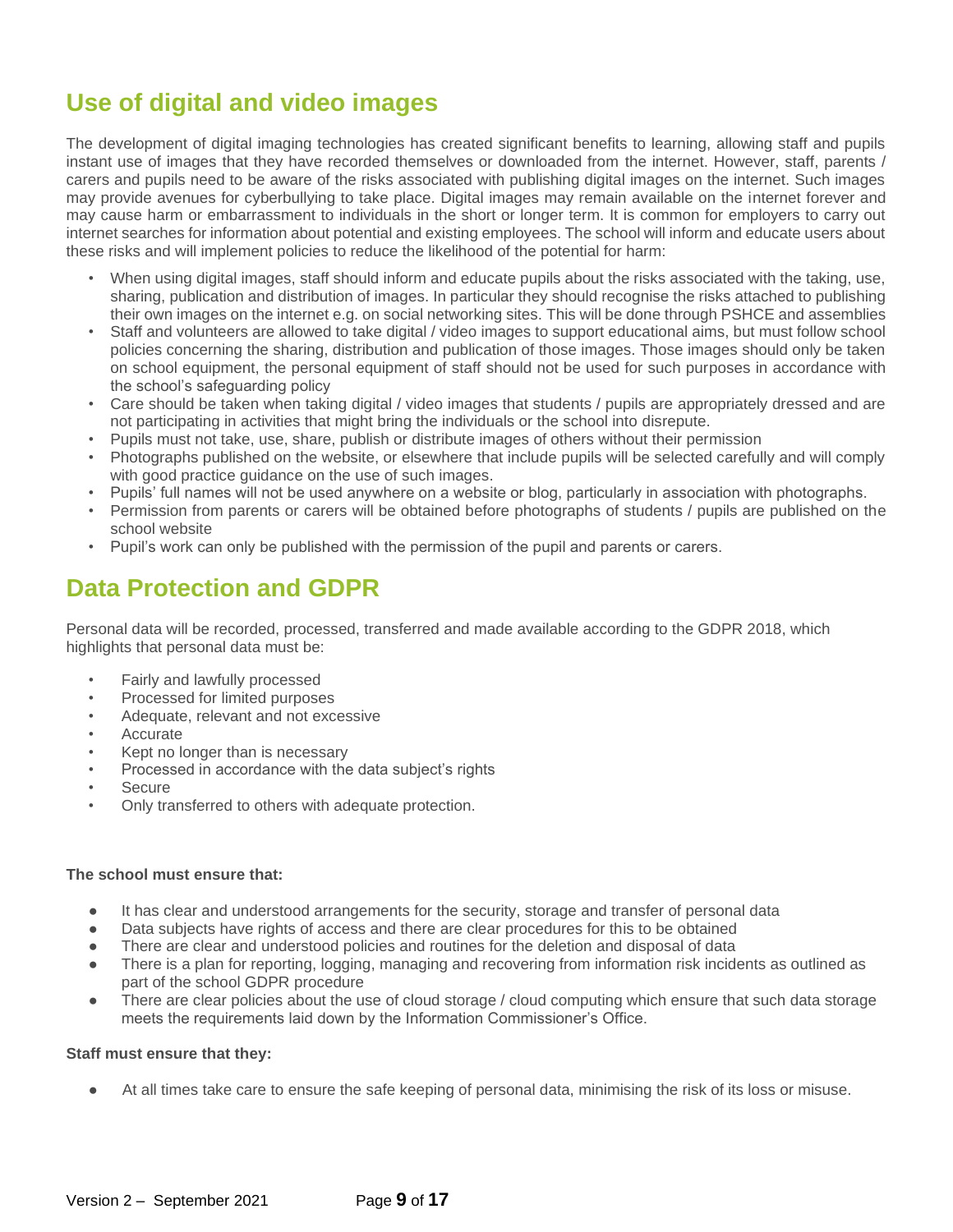### **Use of digital and video images**

The development of digital imaging technologies has created significant benefits to learning, allowing staff and pupils instant use of images that they have recorded themselves or downloaded from the internet. However, staff, parents / carers and pupils need to be aware of the risks associated with publishing digital images on the internet. Such images may provide avenues for cyberbullying to take place. Digital images may remain available on the internet forever and may cause harm or embarrassment to individuals in the short or longer term. It is common for employers to carry out internet searches for information about potential and existing employees. The school will inform and educate users about these risks and will implement policies to reduce the likelihood of the potential for harm:

- When using digital images, staff should inform and educate pupils about the risks associated with the taking, use, sharing, publication and distribution of images. In particular they should recognise the risks attached to publishing their own images on the internet e.g. on social networking sites. This will be done through PSHCE and assemblies
- Staff and volunteers are allowed to take digital / video images to support educational aims, but must follow school policies concerning the sharing, distribution and publication of those images. Those images should only be taken on school equipment, the personal equipment of staff should not be used for such purposes in accordance with the school's safeguarding policy
- Care should be taken when taking digital / video images that students / pupils are appropriately dressed and are not participating in activities that might bring the individuals or the school into disrepute.
- Pupils must not take, use, share, publish or distribute images of others without their permission
- Photographs published on the website, or elsewhere that include pupils will be selected carefully and will comply with good practice guidance on the use of such images.
- Pupils' full names will not be used anywhere on a website or blog, particularly in association with photographs.
- Permission from parents or carers will be obtained before photographs of students / pupils are published on the school website
- Pupil's work can only be published with the permission of the pupil and parents or carers.

#### **Data Protection and GDPR**

Personal data will be recorded, processed, transferred and made available according to the GDPR 2018, which highlights that personal data must be:

- Fairly and lawfully processed
- Processed for limited purposes
- Adequate, relevant and not excessive
- **Accurate**
- Kept no longer than is necessary
- Processed in accordance with the data subject's rights
- **Secure**
- Only transferred to others with adequate protection.

#### **The school must ensure that:**

- It has clear and understood arrangements for the security, storage and transfer of personal data
- Data subjects have rights of access and there are clear procedures for this to be obtained
- There are clear and understood policies and routines for the deletion and disposal of data
- There is a plan for reporting, logging, managing and recovering from information risk incidents as outlined as part of the school GDPR procedure
- There are clear policies about the use of cloud storage / cloud computing which ensure that such data storage meets the requirements laid down by the Information Commissioner's Office.

#### **Staff must ensure that they:**

At all times take care to ensure the safe keeping of personal data, minimising the risk of its loss or misuse.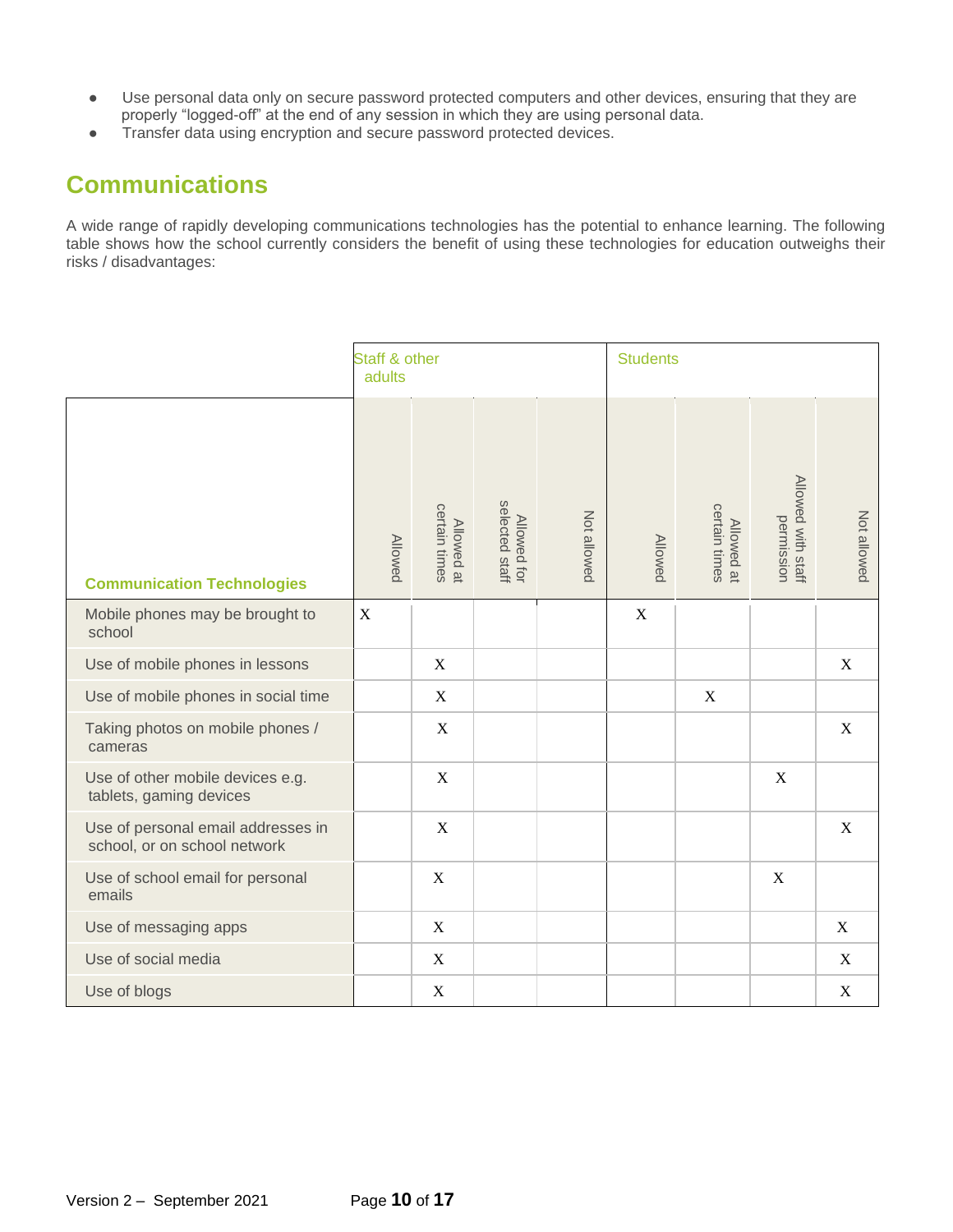- Use personal data only on secure password protected computers and other devices, ensuring that they are properly "logged-off" at the end of any session in which they are using personal data.
- Transfer data using encryption and secure password protected devices.

#### **Communications**

A wide range of rapidly developing communications technologies has the potential to enhance learning. The following table shows how the school currently considers the benefit of using these technologies for education outweighs their risks / disadvantages:

|                                                                    | Staff & other<br>adults |                             |                               |             | <b>Students</b>  |                             |                                  |             |
|--------------------------------------------------------------------|-------------------------|-----------------------------|-------------------------------|-------------|------------------|-----------------------------|----------------------------------|-------------|
| <b>Communication Technologies</b>                                  | <b>Allowed</b>          | certain times<br>Allowed at | Allowed for<br>selected staff | Not allowed | <b>Allowed</b>   | certain times<br>Allowed at | Allowed with staff<br>permission | Not allowed |
| Mobile phones may be brought to<br>school                          | $\mathbf X$             |                             |                               |             | $\boldsymbol{X}$ |                             |                                  |             |
| Use of mobile phones in lessons                                    |                         | $\mathbf X$                 |                               |             |                  |                             |                                  | X           |
| Use of mobile phones in social time                                |                         | $\mathbf X$                 |                               |             |                  | $\mathbf X$                 |                                  |             |
| Taking photos on mobile phones /<br>cameras                        |                         | $\mathbf X$                 |                               |             |                  |                             |                                  | $\mathbf X$ |
| Use of other mobile devices e.g.<br>tablets, gaming devices        |                         | $\mathbf X$                 |                               |             |                  |                             | $\mathbf X$                      |             |
| Use of personal email addresses in<br>school, or on school network |                         | $\mathbf X$                 |                               |             |                  |                             |                                  | $\mathbf X$ |
| Use of school email for personal<br>emails                         |                         | $\mathbf X$                 |                               |             |                  |                             | $\mathbf X$                      |             |
| Use of messaging apps                                              |                         | $\mathbf X$                 |                               |             |                  |                             |                                  | X           |
| Use of social media                                                |                         | $\mathbf X$                 |                               |             |                  |                             |                                  | X           |
| Use of blogs                                                       |                         | $\mathbf X$                 |                               |             |                  |                             |                                  | $\mathbf X$ |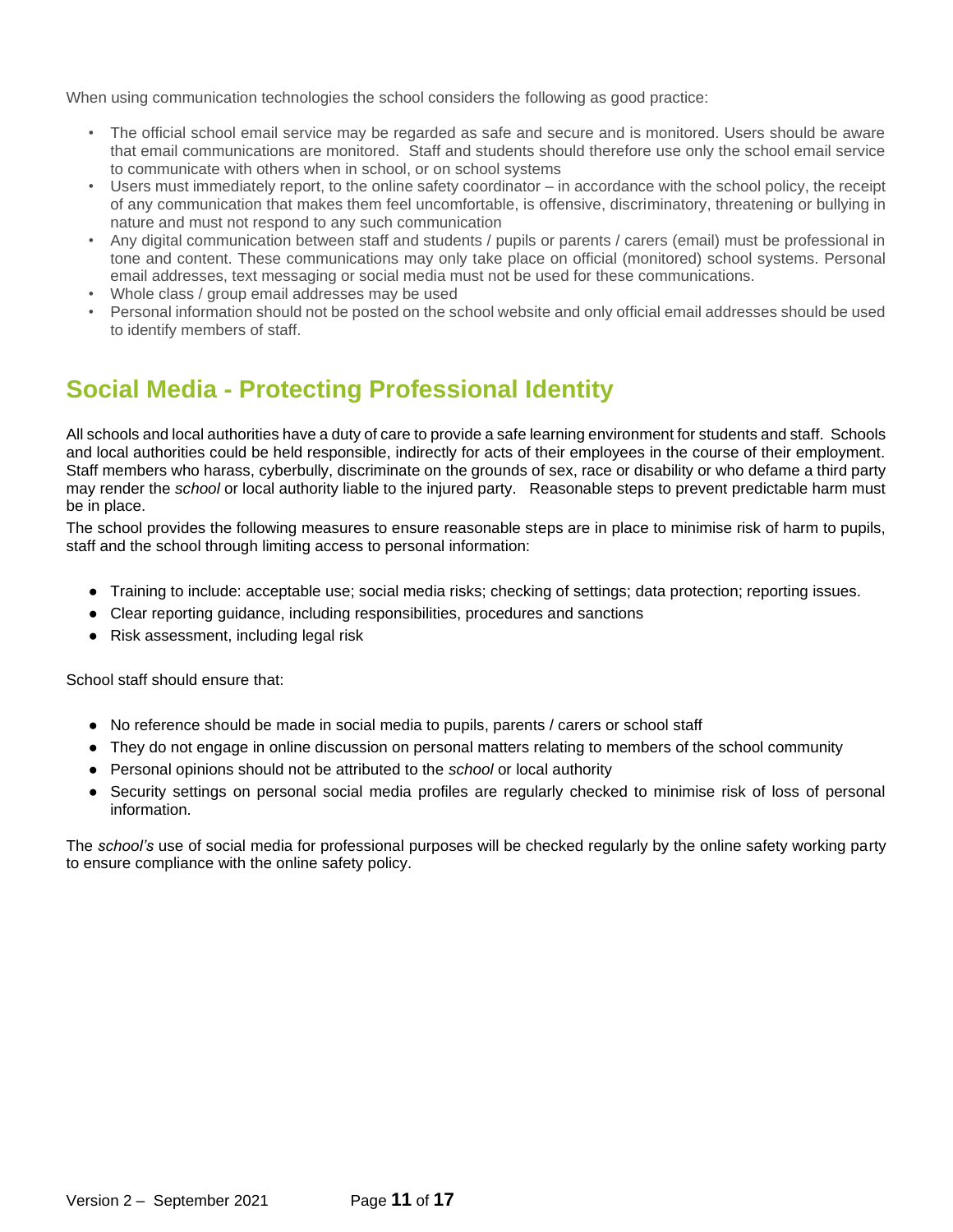When using communication technologies the school considers the following as good practice:

- The official school email service may be regarded as safe and secure and is monitored. Users should be aware that email communications are monitored. Staff and students should therefore use only the school email service to communicate with others when in school, or on school systems
- Users must immediately report, to the online safety coordinator in accordance with the school policy, the receipt of any communication that makes them feel uncomfortable, is offensive, discriminatory, threatening or bullying in nature and must not respond to any such communication
- Any digital communication between staff and students / pupils or parents / carers (email) must be professional in tone and content. These communications may only take place on official (monitored) school systems. Personal email addresses, text messaging or social media must not be used for these communications.
- Whole class / group email addresses may be used
- Personal information should not be posted on the school website and only official email addresses should be used to identify members of staff.

#### **Social Media - Protecting Professional Identity**

All schools and local authorities have a duty of care to provide a safe learning environment for students and staff. Schools and local authorities could be held responsible, indirectly for acts of their employees in the course of their employment. Staff members who harass, cyberbully, discriminate on the grounds of sex, race or disability or who defame a third party may render the *school* or local authority liable to the injured party. Reasonable steps to prevent predictable harm must be in place.

The school provides the following measures to ensure reasonable steps are in place to minimise risk of harm to pupils, staff and the school through limiting access to personal information:

- Training to include: acceptable use; social media risks; checking of settings; data protection; reporting issues.
- Clear reporting guidance, including responsibilities, procedures and sanctions
- Risk assessment, including legal risk

School staff should ensure that:

- No reference should be made in social media to pupils, parents / carers or school staff
- They do not engage in online discussion on personal matters relating to members of the school community
- Personal opinions should not be attributed to the *school* or local authority
- Security settings on personal social media profiles are regularly checked to minimise risk of loss of personal information.

The *school's* use of social media for professional purposes will be checked regularly by the online safety working party to ensure compliance with the online safety policy.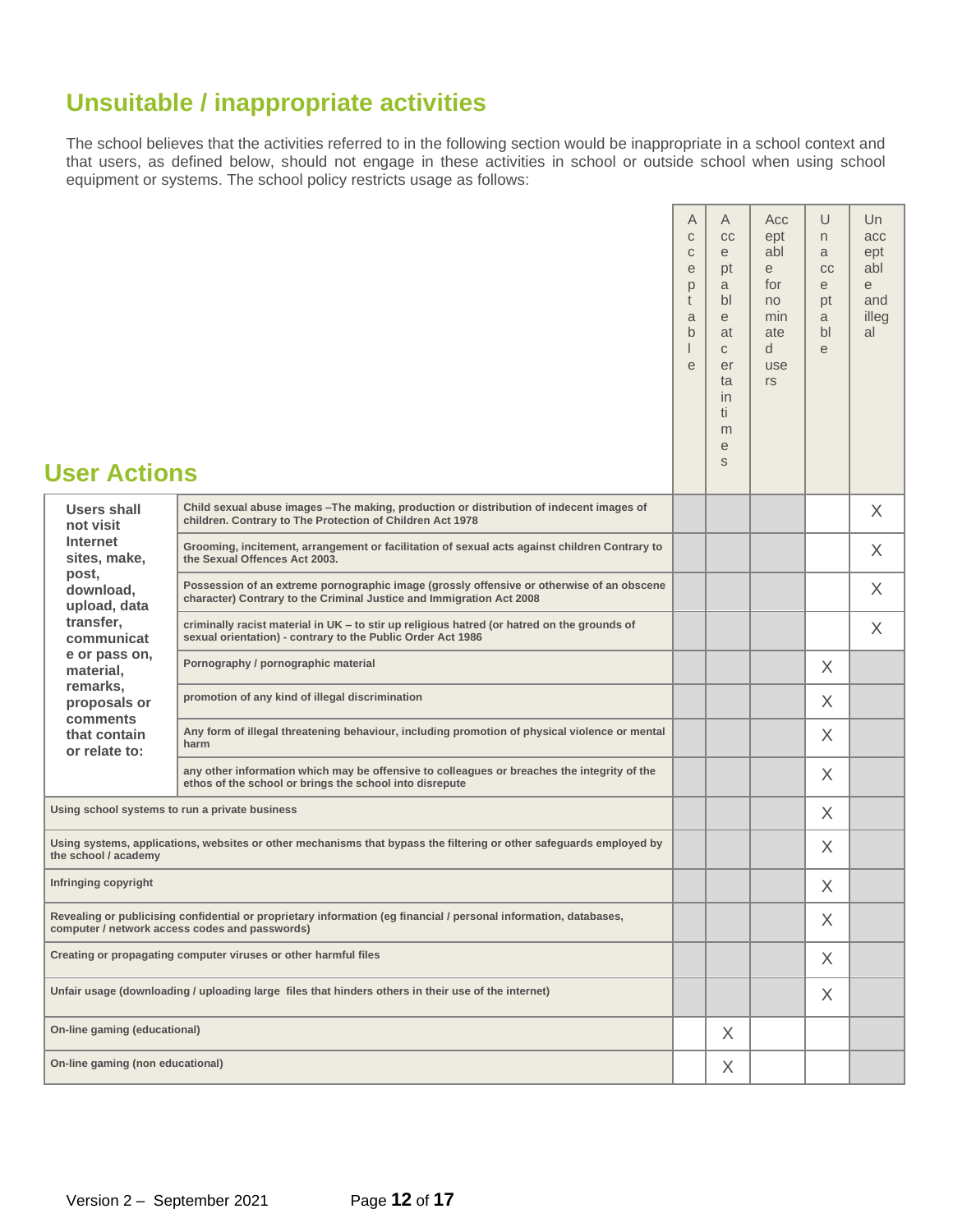#### **Unsuitable / inappropriate activities**

The school believes that the activities referred to in the following section would be inappropriate in a school context and that users, as defined below, should not engage in these activities in school or outside school when using school equipment or systems. The school policy restricts usage as follows:

Ē

| <b>User Actions</b>                                                                                                                                                 |                                                                                                                                                                   | A<br>$\mathbf C$<br>$\mathbf C$<br>e<br>p<br>t<br>a<br>$\mathsf{b}$<br>L<br>e | Α<br>CC<br>e<br>pt<br>a<br>bl<br>e<br>at<br>$\mathsf{C}$<br>er<br>ta<br>in.<br>ti<br>m<br>e<br>S | Acc<br>ept<br>abl<br>e<br>for<br>no<br>min<br>ate<br>d<br>use<br>rs | U<br>n<br>a<br>cc<br>e<br>pt<br>a<br>bl<br>e | Un<br>acc<br>ept<br>abl<br>e<br>and<br>illeg<br>al |
|---------------------------------------------------------------------------------------------------------------------------------------------------------------------|-------------------------------------------------------------------------------------------------------------------------------------------------------------------|-------------------------------------------------------------------------------|--------------------------------------------------------------------------------------------------|---------------------------------------------------------------------|----------------------------------------------|----------------------------------------------------|
| <b>Users shall</b><br>not visit                                                                                                                                     | Child sexual abuse images - The making, production or distribution of indecent images of<br>children. Contrary to The Protection of Children Act 1978             |                                                                               |                                                                                                  |                                                                     |                                              | $\times$                                           |
| <b>Internet</b><br>sites, make,<br>post,                                                                                                                            | Grooming, incitement, arrangement or facilitation of sexual acts against children Contrary to<br>the Sexual Offences Act 2003.                                    |                                                                               |                                                                                                  |                                                                     |                                              | X                                                  |
| download,<br>upload, data                                                                                                                                           | Possession of an extreme pornographic image (grossly offensive or otherwise of an obscene<br>character) Contrary to the Criminal Justice and Immigration Act 2008 |                                                                               |                                                                                                  |                                                                     |                                              | X                                                  |
| transfer,<br>communicat                                                                                                                                             | criminally racist material in UK - to stir up religious hatred (or hatred on the grounds of<br>sexual orientation) - contrary to the Public Order Act 1986        |                                                                               |                                                                                                  |                                                                     |                                              | $\times$                                           |
| e or pass on,<br>material,                                                                                                                                          | Pornography / pornographic material                                                                                                                               |                                                                               |                                                                                                  |                                                                     | $\times$                                     |                                                    |
| remarks,<br>proposals or<br>comments                                                                                                                                | promotion of any kind of illegal discrimination                                                                                                                   |                                                                               |                                                                                                  |                                                                     | X                                            |                                                    |
| that contain<br>or relate to:                                                                                                                                       | Any form of illegal threatening behaviour, including promotion of physical violence or mental<br>harm                                                             |                                                                               |                                                                                                  |                                                                     | $\times$                                     |                                                    |
|                                                                                                                                                                     | any other information which may be offensive to colleagues or breaches the integrity of the<br>ethos of the school or brings the school into disrepute            |                                                                               |                                                                                                  |                                                                     | X                                            |                                                    |
| Using school systems to run a private business                                                                                                                      |                                                                                                                                                                   |                                                                               |                                                                                                  |                                                                     | X                                            |                                                    |
| the school / academy                                                                                                                                                | Using systems, applications, websites or other mechanisms that bypass the filtering or other safeguards employed by                                               |                                                                               |                                                                                                  |                                                                     | X                                            |                                                    |
| Infringing copyright                                                                                                                                                |                                                                                                                                                                   |                                                                               |                                                                                                  |                                                                     | X                                            |                                                    |
| Revealing or publicising confidential or proprietary information (eg financial / personal information, databases,<br>computer / network access codes and passwords) |                                                                                                                                                                   |                                                                               |                                                                                                  |                                                                     | X                                            |                                                    |
| Creating or propagating computer viruses or other harmful files                                                                                                     |                                                                                                                                                                   |                                                                               |                                                                                                  |                                                                     | X                                            |                                                    |
| Unfair usage (downloading / uploading large files that hinders others in their use of the internet)                                                                 |                                                                                                                                                                   |                                                                               |                                                                                                  |                                                                     | X                                            |                                                    |
| On-line gaming (educational)                                                                                                                                        |                                                                                                                                                                   |                                                                               | X                                                                                                |                                                                     |                                              |                                                    |
| On-line gaming (non educational)                                                                                                                                    |                                                                                                                                                                   |                                                                               | X                                                                                                |                                                                     |                                              |                                                    |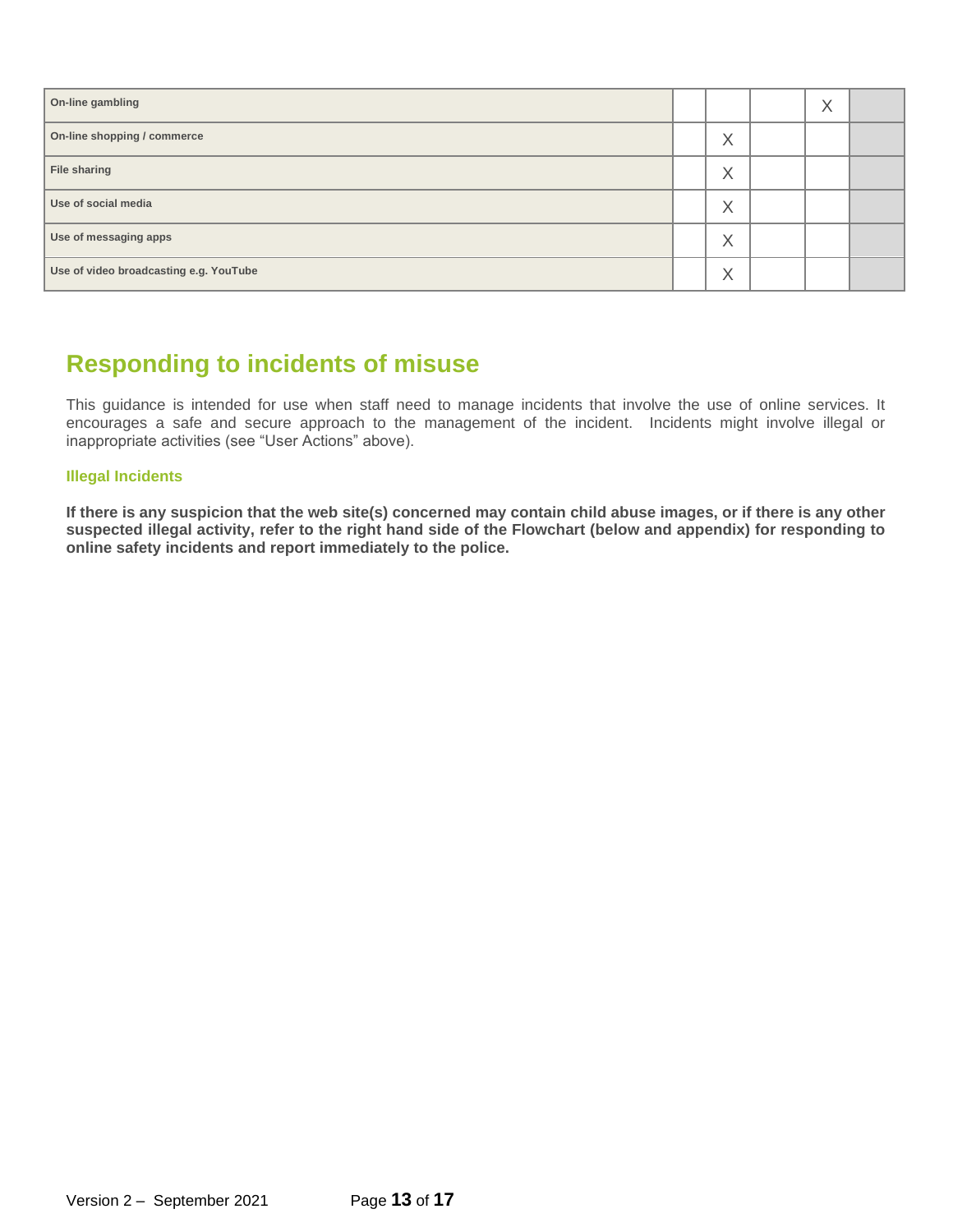| On-line gambling                       |                   | X |  |
|----------------------------------------|-------------------|---|--|
| On-line shopping / commerce            | $\checkmark$<br>⋏ |   |  |
| File sharing                           | $\checkmark$<br>⋏ |   |  |
| Use of social media                    | $\checkmark$<br>⋏ |   |  |
| Use of messaging apps                  | $\checkmark$<br>∧ |   |  |
| Use of video broadcasting e.g. YouTube | $\checkmark$<br>∧ |   |  |

#### **Responding to incidents of misuse**

This guidance is intended for use when staff need to manage incidents that involve the use of online services. It encourages a safe and secure approach to the management of the incident. Incidents might involve illegal or inappropriate activities (see "User Actions" above).

#### **Illegal Incidents**

**If there is any suspicion that the web site(s) concerned may contain child abuse images, or if there is any other suspected illegal activity, refer to the right hand side of the Flowchart (below and appendix) for responding to online safety incidents and report immediately to the police.**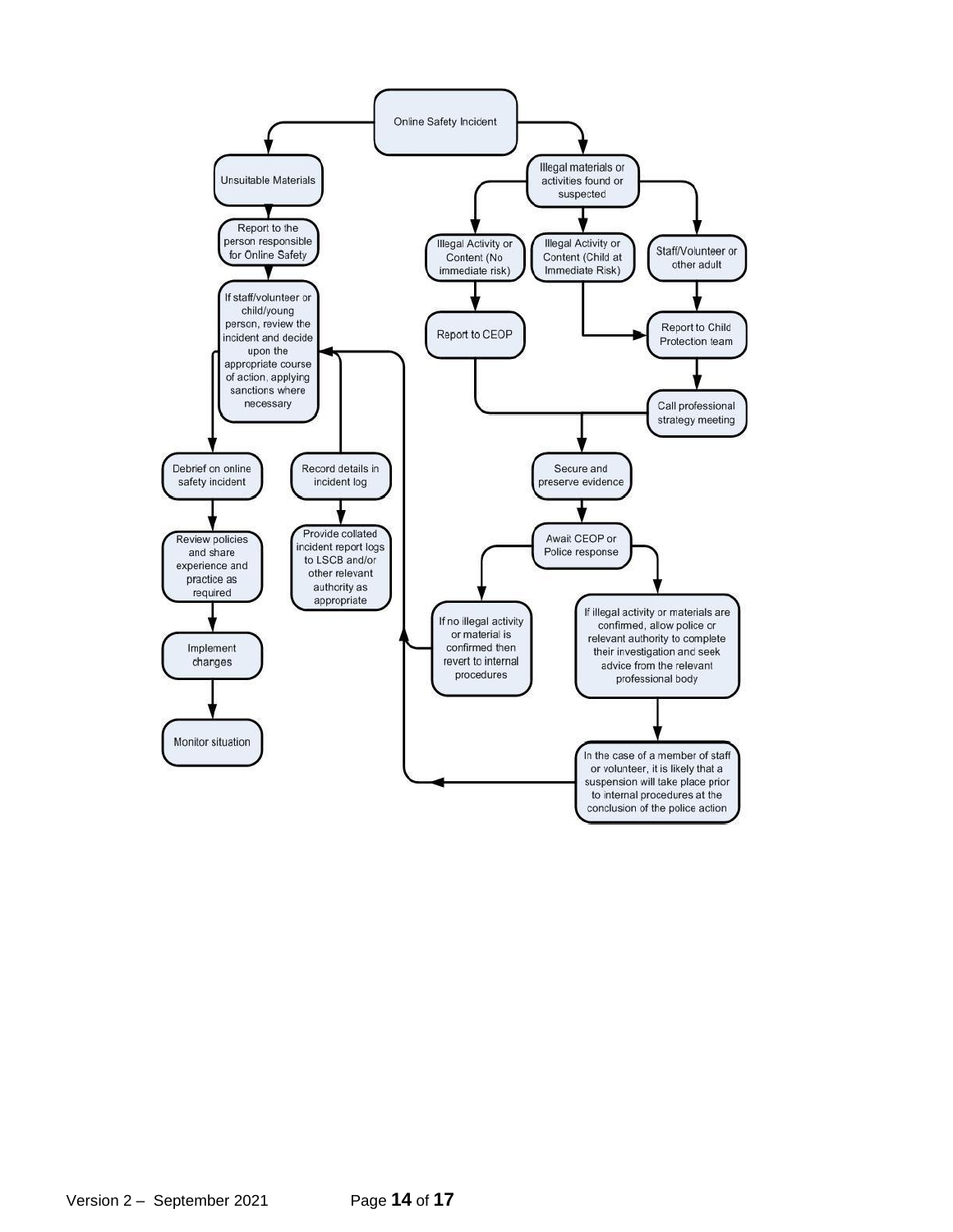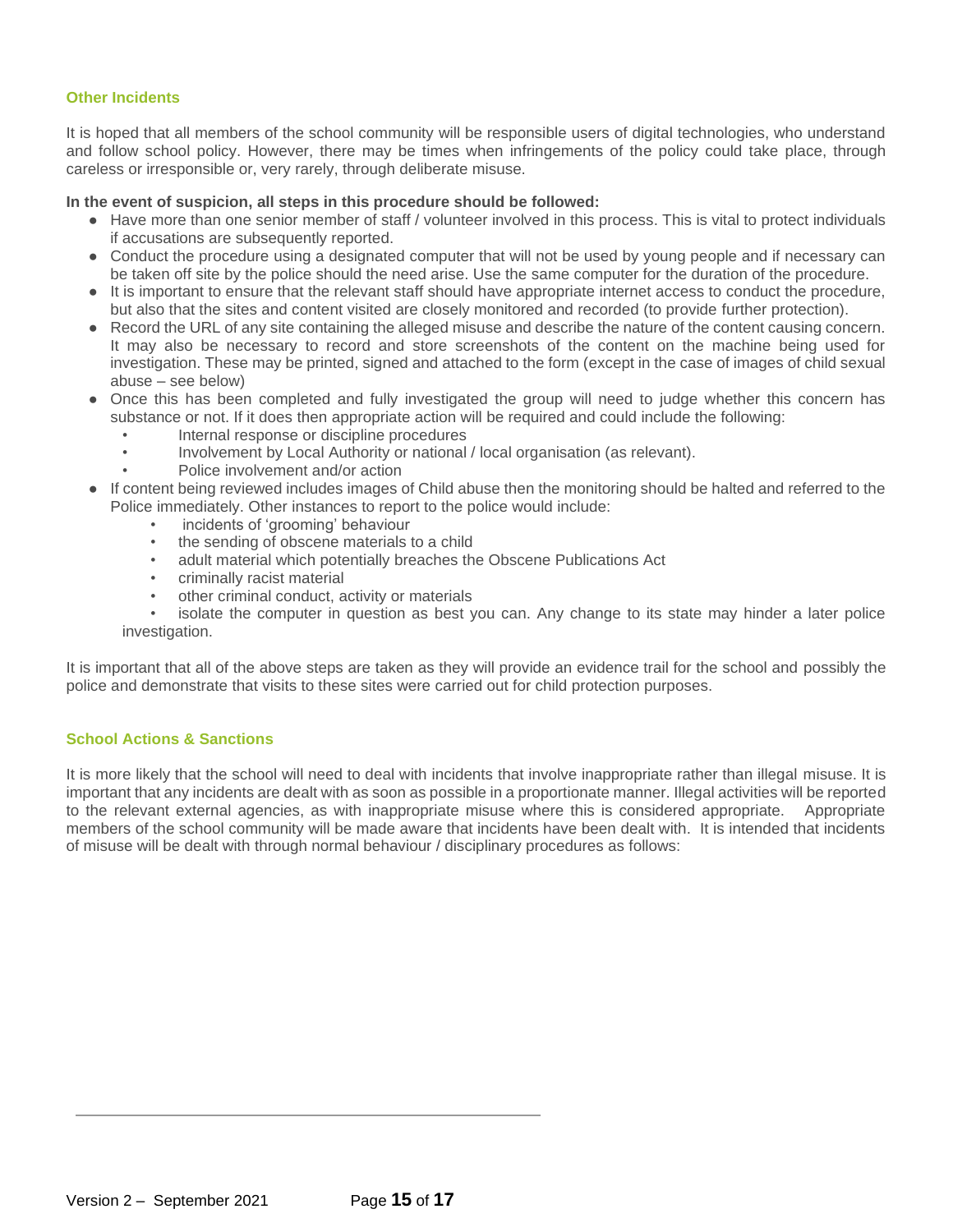#### **Other Incidents**

It is hoped that all members of the school community will be responsible users of digital technologies, who understand and follow school policy. However, there may be times when infringements of the policy could take place, through careless or irresponsible or, very rarely, through deliberate misuse.

#### **In the event of suspicion, all steps in this procedure should be followed:**

- Have more than one senior member of staff / volunteer involved in this process. This is vital to protect individuals if accusations are subsequently reported.
- Conduct the procedure using a designated computer that will not be used by young people and if necessary can be taken off site by the police should the need arise. Use the same computer for the duration of the procedure.
- It is important to ensure that the relevant staff should have appropriate internet access to conduct the procedure, but also that the sites and content visited are closely monitored and recorded (to provide further protection).
- Record the URL of any site containing the alleged misuse and describe the nature of the content causing concern. It may also be necessary to record and store screenshots of the content on the machine being used for investigation. These may be printed, signed and attached to the form (except in the case of images of child sexual abuse – see below)
- Once this has been completed and fully investigated the group will need to judge whether this concern has substance or not. If it does then appropriate action will be required and could include the following:
	- Internal response or discipline procedures
	- Involvement by Local Authority or national / local organisation (as relevant).
	- Police involvement and/or action
- If content being reviewed includes images of Child abuse then the monitoring should be halted and referred to the Police immediately. Other instances to report to the police would include:
	- incidents of 'grooming' behaviour
	- the sending of obscene materials to a child
	- adult material which potentially breaches the Obscene Publications Act
	- criminally racist material
	- other criminal conduct, activity or materials

isolate the computer in question as best you can. Any change to its state may hinder a later police investigation.

It is important that all of the above steps are taken as they will provide an evidence trail for the school and possibly the police and demonstrate that visits to these sites were carried out for child protection purposes.

#### **School Actions & Sanctions**

It is more likely that the school will need to deal with incidents that involve inappropriate rather than illegal misuse. It is important that any incidents are dealt with as soon as possible in a proportionate manner. Illegal activities will be reported to the relevant external agencies, as with inappropriate misuse where this is considered appropriate. Appropriate members of the school community will be made aware that incidents have been dealt with. It is intended that incidents of misuse will be dealt with through normal behaviour / disciplinary procedures as follows: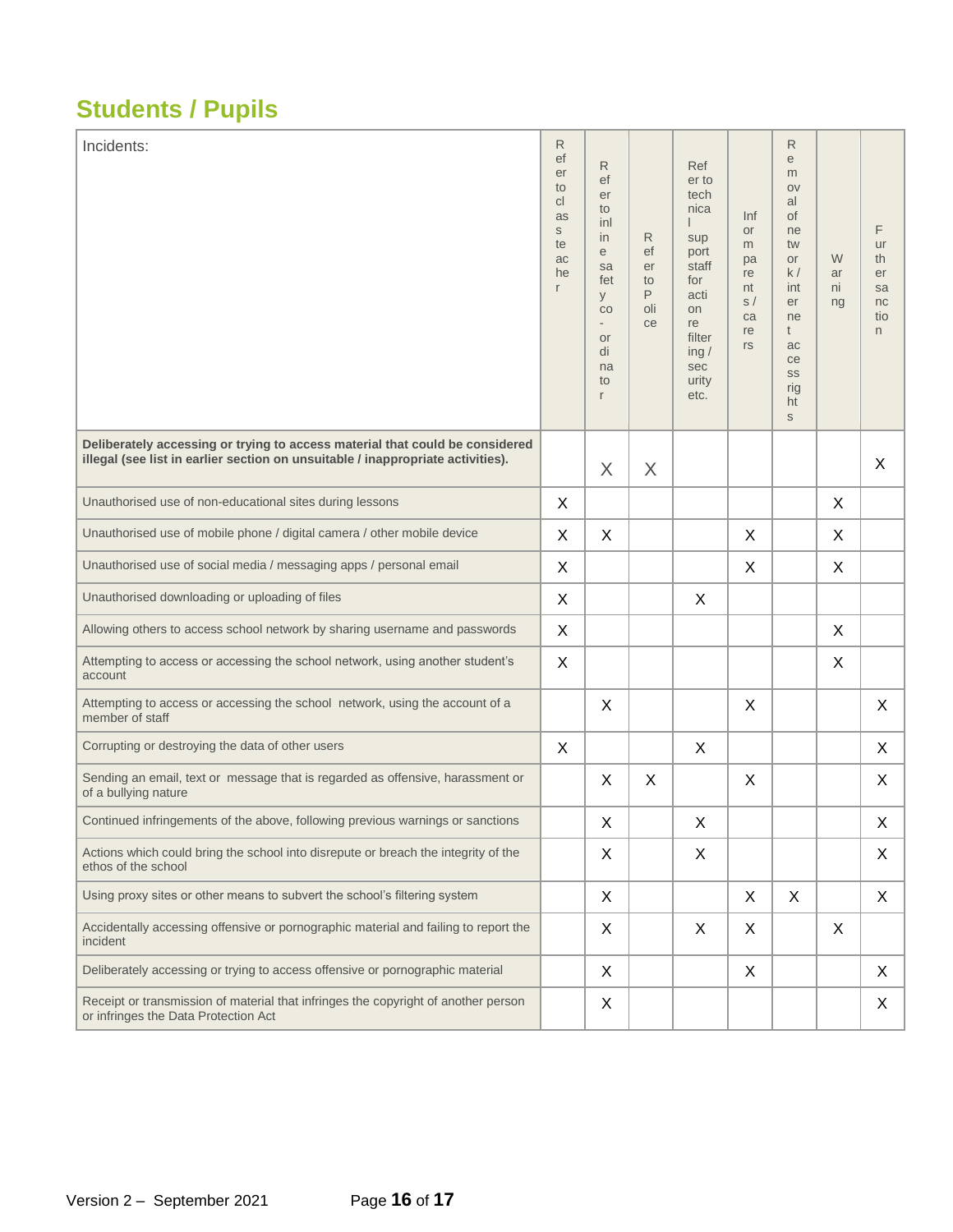### **Students / Pupils**

| Incidents:                                                                                                                                                      | R<br>ef<br>er<br>to<br>C<br>as<br>S<br>te<br>ac<br>he<br>r | R<br>ef<br>er<br>to<br>inl<br>in<br>e<br>sa<br>fet<br>y<br>CO<br>$\overline{\phantom{a}}$<br><b>or</b><br>di<br>na<br>to<br>r | R<br>ef<br>er<br>to<br>P<br>oli<br>ce | Ref<br>er to<br>tech<br>nica<br>sup<br>port<br>staff<br>for<br>acti<br>on<br>re<br>filter<br>ing /<br>sec<br>urity<br>etc. | Inf<br><b>or</b><br>m<br>pa<br>re<br>nt<br>s/<br>ca<br>re<br>rs | R<br>e<br>m<br>OV<br>al<br><b>of</b><br>ne<br>tw<br>or<br>k/<br>int<br>er<br>ne<br>t<br>ac<br>ce<br>SS<br>rig<br>ht<br>S | W<br>ar<br>ni<br>ng | F<br>ur<br>th<br>er<br>sa<br>nc<br>tio<br>n |
|-----------------------------------------------------------------------------------------------------------------------------------------------------------------|------------------------------------------------------------|-------------------------------------------------------------------------------------------------------------------------------|---------------------------------------|----------------------------------------------------------------------------------------------------------------------------|-----------------------------------------------------------------|--------------------------------------------------------------------------------------------------------------------------|---------------------|---------------------------------------------|
| Deliberately accessing or trying to access material that could be considered<br>illegal (see list in earlier section on unsuitable / inappropriate activities). |                                                            | $\times$                                                                                                                      | X                                     |                                                                                                                            |                                                                 |                                                                                                                          |                     | X                                           |
| Unauthorised use of non-educational sites during lessons                                                                                                        | X.                                                         |                                                                                                                               |                                       |                                                                                                                            |                                                                 |                                                                                                                          | X                   |                                             |
| Unauthorised use of mobile phone / digital camera / other mobile device                                                                                         | X                                                          | $\mathsf{X}$                                                                                                                  |                                       |                                                                                                                            | $\sf X$                                                         |                                                                                                                          | $\mathsf{X}$        |                                             |
| Unauthorised use of social media / messaging apps / personal email                                                                                              | X                                                          |                                                                                                                               |                                       |                                                                                                                            | $\mathsf{X}$                                                    |                                                                                                                          | X                   |                                             |
| Unauthorised downloading or uploading of files                                                                                                                  | X                                                          |                                                                                                                               |                                       | X                                                                                                                          |                                                                 |                                                                                                                          |                     |                                             |
| Allowing others to access school network by sharing username and passwords                                                                                      | X                                                          |                                                                                                                               |                                       |                                                                                                                            |                                                                 |                                                                                                                          | X                   |                                             |
| Attempting to access or accessing the school network, using another student's<br>account                                                                        | X                                                          |                                                                                                                               |                                       |                                                                                                                            |                                                                 |                                                                                                                          | X                   |                                             |
| Attempting to access or accessing the school network, using the account of a<br>member of staff                                                                 |                                                            | X                                                                                                                             |                                       |                                                                                                                            | X                                                               |                                                                                                                          |                     | X                                           |
| Corrupting or destroying the data of other users                                                                                                                | X                                                          |                                                                                                                               |                                       | X                                                                                                                          |                                                                 |                                                                                                                          |                     | X                                           |
| Sending an email, text or message that is regarded as offensive, harassment or<br>of a bullying nature                                                          |                                                            | X                                                                                                                             | X                                     |                                                                                                                            | X                                                               |                                                                                                                          |                     | X                                           |
| Continued infringements of the above, following previous warnings or sanctions                                                                                  |                                                            | X                                                                                                                             |                                       | X                                                                                                                          |                                                                 |                                                                                                                          |                     | X                                           |
| Actions which could bring the school into disrepute or breach the integrity of the<br>ethos of the school                                                       |                                                            | X                                                                                                                             |                                       | X                                                                                                                          |                                                                 |                                                                                                                          |                     | X                                           |
| Using proxy sites or other means to subvert the school's filtering system                                                                                       |                                                            | X                                                                                                                             |                                       |                                                                                                                            | X                                                               | X                                                                                                                        |                     | X                                           |
| Accidentally accessing offensive or pornographic material and failing to report the<br>incident                                                                 |                                                            | X                                                                                                                             |                                       | X                                                                                                                          | X                                                               |                                                                                                                          | X                   |                                             |
| Deliberately accessing or trying to access offensive or pornographic material                                                                                   |                                                            | X                                                                                                                             |                                       |                                                                                                                            | X                                                               |                                                                                                                          |                     | X                                           |
| Receipt or transmission of material that infringes the copyright of another person<br>or infringes the Data Protection Act                                      |                                                            | X                                                                                                                             |                                       |                                                                                                                            |                                                                 |                                                                                                                          |                     | X                                           |